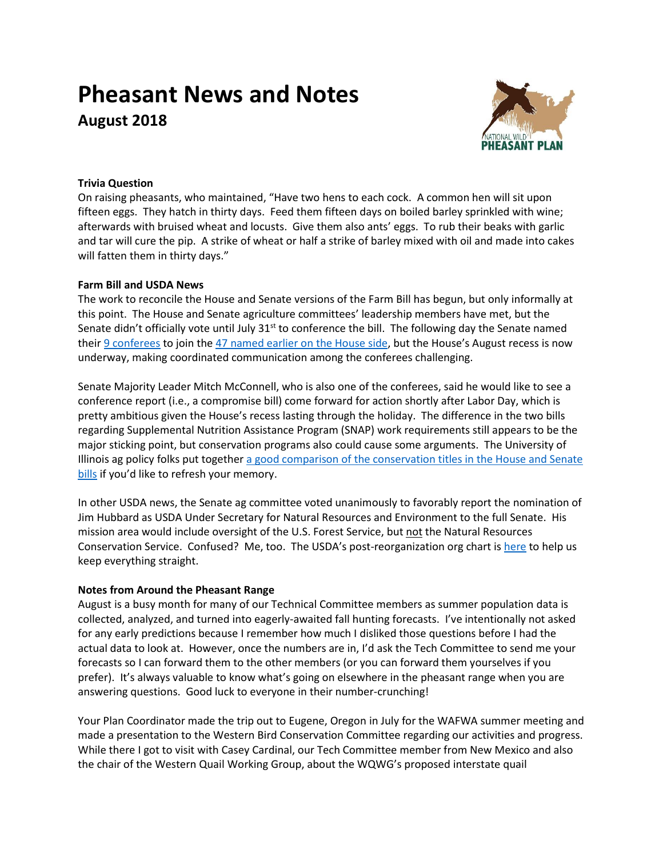# **Pheasant News and Notes August 2018**



## **Trivia Question**

On raising pheasants, who maintained, "Have two hens to each cock. A common hen will sit upon fifteen eggs. They hatch in thirty days. Feed them fifteen days on boiled barley sprinkled with wine; afterwards with bruised wheat and locusts. Give them also ants' eggs. To rub their beaks with garlic and tar will cure the pip. A strike of wheat or half a strike of barley mixed with oil and made into cakes will fatten them in thirty days."

## **Farm Bill and USDA News**

The work to reconcile the House and Senate versions of the Farm Bill has begun, but only informally at this point. The House and Senate agriculture committees' leadership members have met, but the Senate didn't officially vote until July  $31<sup>st</sup>$  to conference the bill. The following day the Senate named their [9 conferees](https://www.agriculture.senate.gov/newsroom/rep/press/release/roberts-stabenow-applaud-vote-to-begin-farm-bill-conference-appointment-of-conferees) to join the [47 named earlier on the House side,](http://www.eesi.org/articles/view/house-appoints-conference-committee-for-2018-farm-bill) but the House's August recess is now underway, making coordinated communication among the conferees challenging.

Senate Majority Leader Mitch McConnell, who is also one of the conferees, said he would like to see a conference report (i.e., a compromise bill) come forward for action shortly after Labor Day, which is pretty ambitious given the House's recess lasting through the holiday. The difference in the two bills regarding Supplemental Nutrition Assistance Program (SNAP) work requirements still appears to be the major sticking point, but conservation programs also could cause some arguments. The University of Illinois ag policy folks put togethe[r a good comparison of the conservation titles in the House and Senate](https://farmdocdaily.illinois.edu/2018/07/conferencing-conservation-reviewing-title-ii-of-the-house-and-senate-farm-bills.html)  [bills](https://farmdocdaily.illinois.edu/2018/07/conferencing-conservation-reviewing-title-ii-of-the-house-and-senate-farm-bills.html) if you'd like to refresh your memory.

In other USDA news, the Senate ag committee voted unanimously to favorably report the nomination of Jim Hubbard as USDA Under Secretary for Natural Resources and Environment to the full Senate. His mission area would include oversight of the U.S. Forest Service, but not the Natural Resources Conservation Service. Confused? Me, too. The USDA's post-reorganization org chart i[s here](https://www.usda.gov/sites/default/files/documents/usda-organization-chart.pdf) to help us keep everything straight.

## **Notes from Around the Pheasant Range**

August is a busy month for many of our Technical Committee members as summer population data is collected, analyzed, and turned into eagerly-awaited fall hunting forecasts. I've intentionally not asked for any early predictions because I remember how much I disliked those questions before I had the actual data to look at. However, once the numbers are in, I'd ask the Tech Committee to send me your forecasts so I can forward them to the other members (or you can forward them yourselves if you prefer). It's always valuable to know what's going on elsewhere in the pheasant range when you are answering questions. Good luck to everyone in their number-crunching!

Your Plan Coordinator made the trip out to Eugene, Oregon in July for the WAFWA summer meeting and made a presentation to the Western Bird Conservation Committee regarding our activities and progress. While there I got to visit with Casey Cardinal, our Tech Committee member from New Mexico and also the chair of the Western Quail Working Group, about the WQWG's proposed interstate quail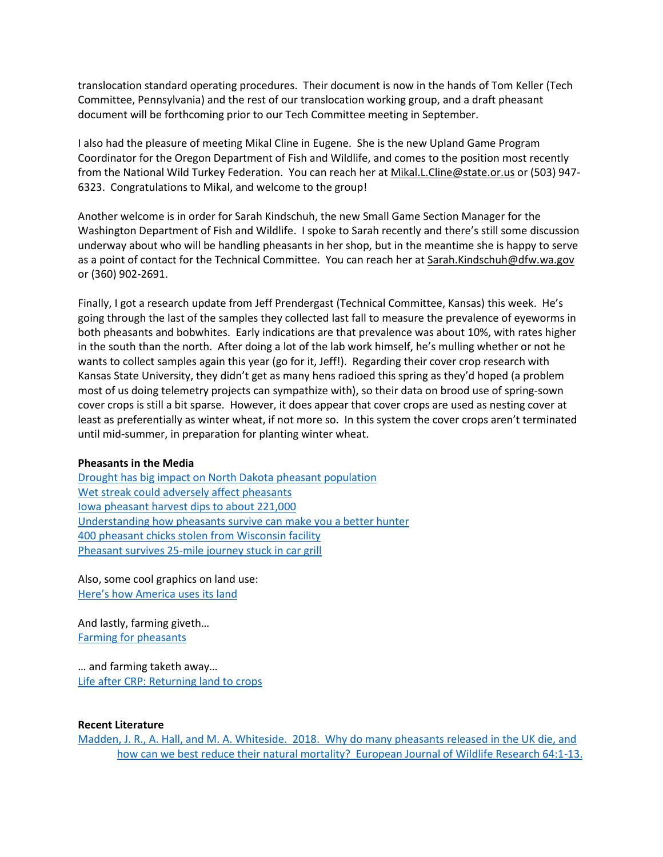translocation standard operating procedures. Their document is now in the hands of Tom Keller (Tech Committee, Pennsylvania) and the rest of our translocation working group, and a draft pheasant document will be forthcoming prior to our Tech Committee meeting in September.

I also had the pleasure of meeting Mikal Cline in Eugene. She is the new Upland Game Program Coordinator for the Oregon Department of Fish and Wildlife, and comes to the position most recently from the National Wild Turkey Federation. You can reach her at Mikal.L.Cline@state.or.us or (503) 947- 6323. Congratulations to Mikal, and welcome to the group!

Another welcome is in order for Sarah Kindschuh, the new Small Game Section Manager for the Washington Department of Fish and Wildlife. I spoke to Sarah recently and there's still some discussion underway about who will be handling pheasants in her shop, but in the meantime she is happy to serve as a point of contact for the Technical Committee. You can reach her at Sarah.Kindschuh@dfw.wa.gov or (360) 902-2691.

Finally, I got a research update from Jeff Prendergast (Technical Committee, Kansas) this week. He's going through the last of the samples they collected last fall to measure the prevalence of eyeworms in both pheasants and bobwhites. Early indications are that prevalence was about 10%, with rates higher in the south than the north. After doing a lot of the lab work himself, he's mulling whether or not he wants to collect samples again this year (go for it, Jeff!). Regarding their cover crop research with Kansas State University, they didn't get as many hens radioed this spring as they'd hoped (a problem most of us doing telemetry projects can sympathize with), so their data on brood use of spring-sown cover crops is still a bit sparse. However, it does appear that cover crops are used as nesting cover at least as preferentially as winter wheat, if not more so. In this system the cover crops aren't terminated until mid-summer, in preparation for planting winter wheat.

#### **Pheasants in the Media**

[Drought has big impact on North Dakota pheasant population](https://www.usnews.com/news/best-states/north-dakota/articles/2018-06-29/drought-has-big-impact-on-north-dakota-pheasant-population) [Wet streak could adversely affect pheasants](http://www.bemidjipioneer.com/sports/outdoors/4470085-wet-streak-could-adversely-affect-pheasants) [Iowa pheasant harvest dips to about 221,000](https://www.outdoornews.com/2018/07/10/iowa-pheasant-harvest-dips-to-about-221000/) [Understanding how pheasants survive can make you a better hunter](https://www.farmforum.net/ag_news/understanding-how-pheasants-survive-can-make-you-a-better-hunter/article_6370886f-aa41-587f-946c-7c085385e18f.html) [400 pheasant chicks stolen from Wisconsin facility](http://www.wkow.com/story/38679640/2018/07/Thursday/400-pheasant-chicks-stolen-from-dodge-county-facility) [Pheasant survives 25-mile journey stuck in car grill](https://www.bbc.com/news/uk-england-york-north-yorkshire-44723446)

Also, some cool graphics on land use: Here'[s how America uses its land](https://www.bloomberg.com/graphics/2018-us-land-use/?cmpId=flipboard)

And lastly, farming giveth… [Farming for pheasants](https://www.dakotafarmer.com/land-management/farming-pheasants?NL=FP-004&Issue=FP-004_20180730_FP-004_23&sfvc4enews=42&cl=article_5_b&utm_rid=CPG02000003130715&utm_campaign=29846&utm_medium=email&elq2=dc8fbb74366648188fcd54a031c55cdd)

… and farming taketh away… [Life after CRP: Returning land to crops](http://www.mitchellrepublic.com/business/agriculture/4469993-life-after-crp-returning-land-crops)

#### **Recent Literature**

[Madden, J. R., A. Hall, and M. A. Whiteside. 2018. Why do many pheasants released in the UK die, and](https://link.springer.com/content/pdf/10.1007%2Fs10344-018-1199-5.pdf)  [how can we best reduce their natural mortality? European Journal of Wildlife Research 64:1-13.](https://link.springer.com/content/pdf/10.1007%2Fs10344-018-1199-5.pdf)